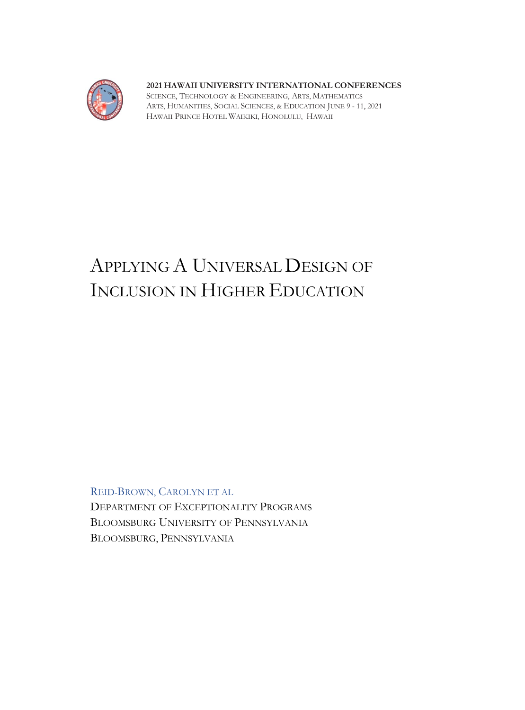

# **2021 HAWAII UNIVERSITY INTERNATIONAL CONFERENCES**

SCIENCE, TECHNOLOGY & ENGINEERING, ARTS, MATHEMATICS ARTS, HUMANITIES, SOCIAL SCIENCES, & EDUCATION JUNE 9 - 11, 2021 HAWAII PRINCE HOTEL WAIKIKI, HONOLULU, HAWAII

# APPLYING A UNIVERSAL DESIGN OF INCLUSION IN HIGHER EDUCATION

REID-BROWN, CAROLYN ET AL

DEPARTMENT OF EXCEPTIONALITY PROGRAMS BLOOMSBURG UNIVERSITY OF PENNSYLVANIA BLOOMSBURG, PENNSYLVANIA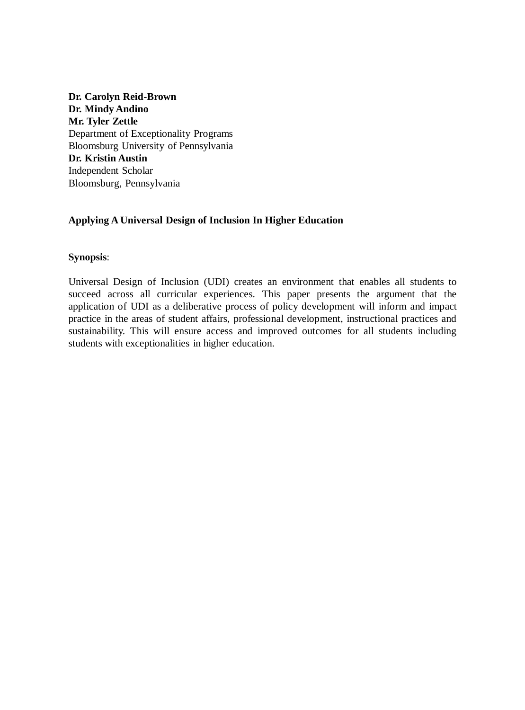**Dr. Carolyn Reid-Brown Dr. Mindy Andino Mr. Tyler Zettle** Department of Exceptionality Programs Bloomsburg University of Pennsylvania **Dr. Kristin Austin** Independent Scholar Bloomsburg, Pennsylvania

# **Applying A Universal Design of Inclusion In Higher Education**

# **Synopsis**:

Universal Design of Inclusion (UDI) creates an environment that enables all students to succeed across all curricular experiences. This paper presents the argument that the application of UDI as a deliberative process of policy development will inform and impact practice in the areas of student affairs, professional development, instructional practices and sustainability. This will ensure access and improved outcomes for all students including students with exceptionalities in higher education.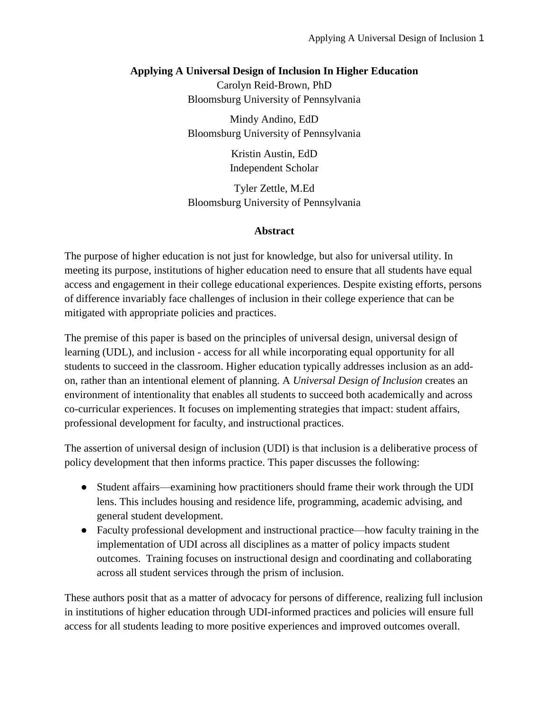# **Applying A Universal Design of Inclusion In Higher Education**

Carolyn Reid-Brown, PhD Bloomsburg University of Pennsylvania

Mindy Andino, EdD Bloomsburg University of Pennsylvania

> Kristin Austin, EdD Independent Scholar

Tyler Zettle, M.Ed Bloomsburg University of Pennsylvania

# **Abstract**

The purpose of higher education is not just for knowledge, but also for universal utility. In meeting its purpose, institutions of higher education need to ensure that all students have equal access and engagement in their college educational experiences. Despite existing efforts, persons of difference invariably face challenges of inclusion in their college experience that can be mitigated with appropriate policies and practices.

The premise of this paper is based on the principles of universal design, universal design of learning (UDL), and inclusion - access for all while incorporating equal opportunity for all students to succeed in the classroom. Higher education typically addresses inclusion as an addon, rather than an intentional element of planning. A *Universal Design of Inclusion* creates an environment of intentionality that enables all students to succeed both academically and across co-curricular experiences. It focuses on implementing strategies that impact: student affairs, professional development for faculty, and instructional practices.

The assertion of universal design of inclusion (UDI) is that inclusion is a deliberative process of policy development that then informs practice. This paper discusses the following:

- Student affairs—examining how practitioners should frame their work through the UDI lens. This includes housing and residence life, programming, academic advising, and general student development.
- Faculty professional development and instructional practice—how faculty training in the implementation of UDI across all disciplines as a matter of policy impacts student outcomes. Training focuses on instructional design and coordinating and collaborating across all student services through the prism of inclusion.

These authors posit that as a matter of advocacy for persons of difference, realizing full inclusion in institutions of higher education through UDI-informed practices and policies will ensure full access for all students leading to more positive experiences and improved outcomes overall.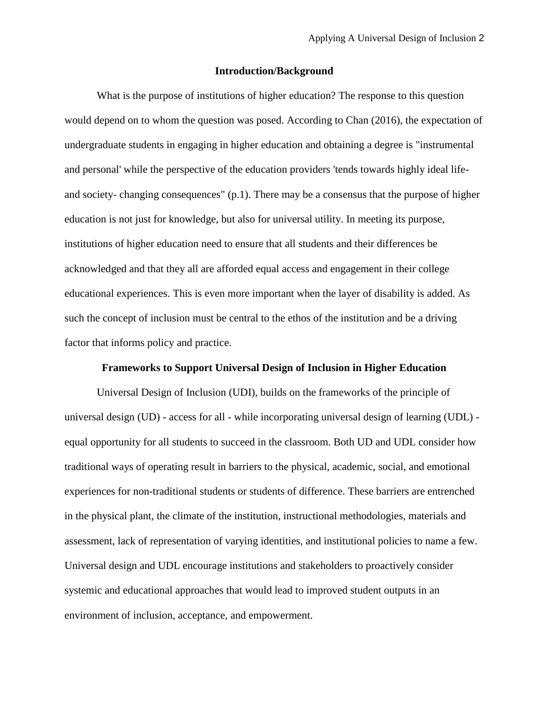#### **Introduction/Background**

What is the purpose of institutions of higher education? The response to this question would depend on to whom the question was posed. According to Chan (2016), the expectation of undergraduate students in engaging in higher education and obtaining a degree is "instrumental and personal' while the perspective of the education providers 'tends towards highly ideal lifeand society- changing consequences" (p.1). There may be a consensus that the purpose of higher education is not just for knowledge, but also for universal utility. In meeting its purpose, institutions of higher education need to ensure that all students and their differences be acknowledged and that they all are afforded equal access and engagement in their college educational experiences. This is even more important when the layer of disability is added. As such the concept of inclusion must be central to the ethos of the institution and be a driving factor that informs policy and practice.

#### **Frameworks to Support Universal Design of Inclusion in Higher Education**

Universal Design of Inclusion (UDI), builds on the frameworks of the principle of universal design (UD) - access for all - while incorporating universal design of learning (UDL) equal opportunity for all students to succeed in the classroom. Both UD and UDL consider how traditional ways of operating result in barriers to the physical, academic, social, and emotional experiences for non-traditional students or students of difference. These barriers are entrenched in the physical plant, the climate of the institution, instructional methodologies, materials and assessment, lack of representation of varying identities, and institutional policies to name a few. Universal design and UDL encourage institutions and stakeholders to proactively consider systemic and educational approaches that would lead to improved student outputs in an environment of inclusion, acceptance, and empowerment.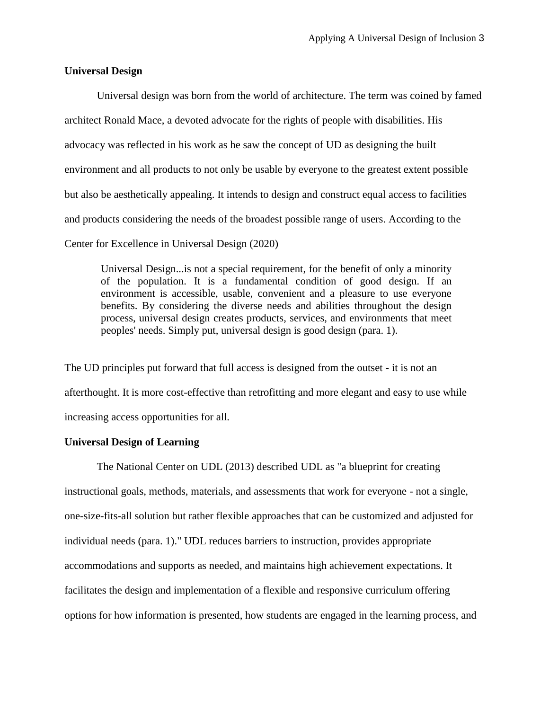### **Universal Design**

Universal design was born from the world of architecture. The term was coined by famed architect Ronald Mace, a devoted advocate for the rights of people with disabilities. His advocacy was reflected in his work as he saw the concept of UD as designing the built environment and all products to not only be usable by everyone to the greatest extent possible but also be aesthetically appealing. It intends to design and construct equal access to facilities and products considering the needs of the broadest possible range of users. According to the Center for Excellence in Universal Design (2020)

Universal Design...is not a special requirement, for the benefit of only a minority of the population. It is a fundamental condition of good design. If an environment is accessible, usable, convenient and a pleasure to use everyone benefits. By considering the diverse needs and abilities throughout the design process, universal design creates products, services, and environments that meet peoples' needs. Simply put, universal design is good design (para. 1).

The UD principles put forward that full access is designed from the outset - it is not an afterthought. It is more cost-effective than retrofitting and more elegant and easy to use while increasing access opportunities for all.

## **Universal Design of Learning**

The National Center on UDL (2013) described UDL as "a blueprint for creating instructional goals, methods, materials, and assessments that work for everyone - not a single, one-size-fits-all solution but rather flexible approaches that can be customized and adjusted for individual needs (para. 1)." UDL reduces barriers to instruction, provides appropriate accommodations and supports as needed, and maintains high achievement expectations. It facilitates the design and implementation of a flexible and responsive curriculum offering options for how information is presented, how students are engaged in the learning process, and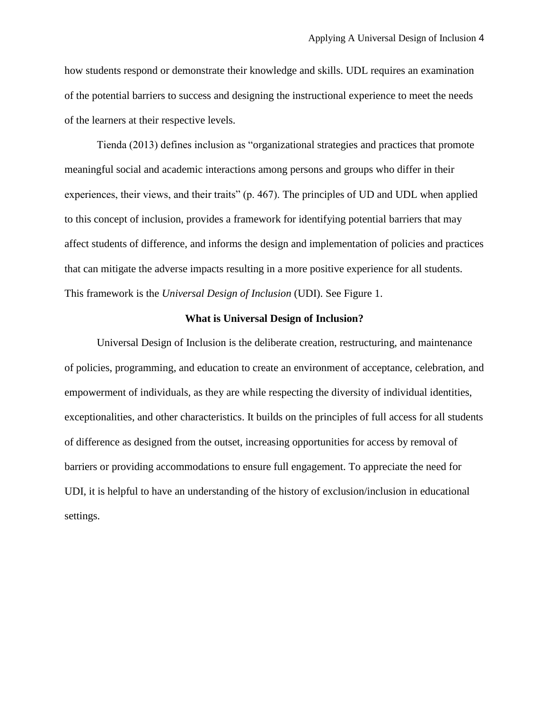how students respond or demonstrate their knowledge and skills. UDL requires an examination of the potential barriers to success and designing the instructional experience to meet the needs of the learners at their respective levels.

Tienda (2013) defines inclusion as "organizational strategies and practices that promote meaningful social and academic interactions among persons and groups who differ in their experiences, their views, and their traits" (p. 467). The principles of UD and UDL when applied to this concept of inclusion, provides a framework for identifying potential barriers that may affect students of difference, and informs the design and implementation of policies and practices that can mitigate the adverse impacts resulting in a more positive experience for all students. This framework is the *Universal Design of Inclusion* (UDI). See Figure 1.

#### **What is Universal Design of Inclusion?**

Universal Design of Inclusion is the deliberate creation, restructuring, and maintenance of policies, programming, and education to create an environment of acceptance, celebration, and empowerment of individuals, as they are while respecting the diversity of individual identities, exceptionalities, and other characteristics. It builds on the principles of full access for all students of difference as designed from the outset, increasing opportunities for access by removal of barriers or providing accommodations to ensure full engagement. To appreciate the need for UDI, it is helpful to have an understanding of the history of exclusion/inclusion in educational settings.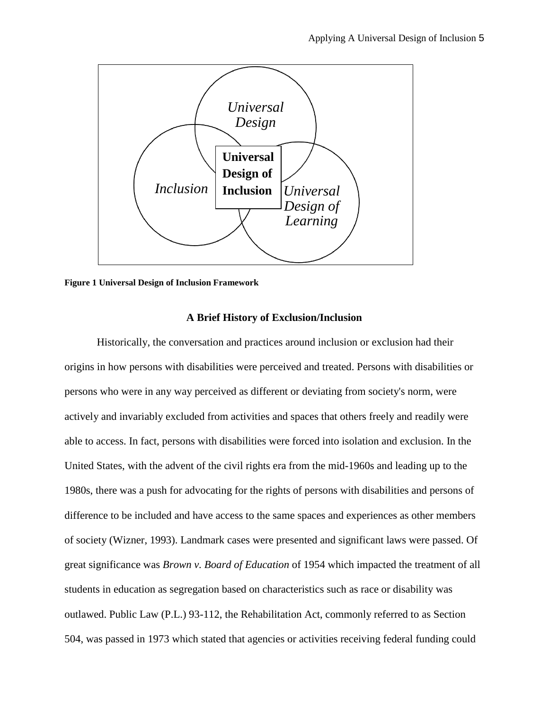

**Figure 1 Universal Design of Inclusion Framework**

## **A Brief History of Exclusion/Inclusion**

Historically, the conversation and practices around inclusion or exclusion had their origins in how persons with disabilities were perceived and treated. Persons with disabilities or persons who were in any way perceived as different or deviating from society's norm, were actively and invariably excluded from activities and spaces that others freely and readily were able to access. In fact, persons with disabilities were forced into isolation and exclusion. In the United States, with the advent of the civil rights era from the mid-1960s and leading up to the 1980s, there was a push for advocating for the rights of persons with disabilities and persons of difference to be included and have access to the same spaces and experiences as other members of society (Wizner, 1993). Landmark cases were presented and significant laws were passed. Of great significance was *Brown v. Board of Education* of 1954 which impacted the treatment of all students in education as segregation based on characteristics such as race or disability was outlawed. Public Law (P.L.) 93-112, the Rehabilitation Act, commonly referred to as Section 504, was passed in 1973 which stated that agencies or activities receiving federal funding could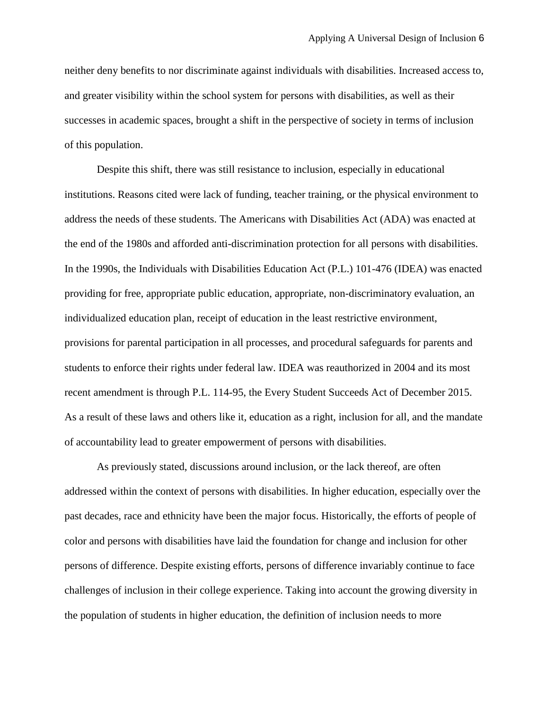neither deny benefits to nor discriminate against individuals with disabilities. Increased access to, and greater visibility within the school system for persons with disabilities, as well as their successes in academic spaces, brought a shift in the perspective of society in terms of inclusion of this population.

Despite this shift, there was still resistance to inclusion, especially in educational institutions. Reasons cited were lack of funding, teacher training, or the physical environment to address the needs of these students. The Americans with Disabilities Act (ADA) was enacted at the end of the 1980s and afforded anti-discrimination protection for all persons with disabilities. In the 1990s, the Individuals with Disabilities Education Act (P.L.) 101-476 (IDEA) was enacted providing for free, appropriate public education, appropriate, non-discriminatory evaluation, an individualized education plan, receipt of education in the least restrictive environment, provisions for parental participation in all processes, and procedural safeguards for parents and students to enforce their rights under federal law. IDEA was reauthorized in 2004 and its most recent amendment is through P.L. 114-95, the Every Student Succeeds Act of December 2015. As a result of these laws and others like it, education as a right, inclusion for all, and the mandate of accountability lead to greater empowerment of persons with disabilities.

As previously stated, discussions around inclusion, or the lack thereof, are often addressed within the context of persons with disabilities. In higher education, especially over the past decades, race and ethnicity have been the major focus. Historically, the efforts of people of color and persons with disabilities have laid the foundation for change and inclusion for other persons of difference. Despite existing efforts, persons of difference invariably continue to face challenges of inclusion in their college experience. Taking into account the growing diversity in the population of students in higher education, the definition of inclusion needs to more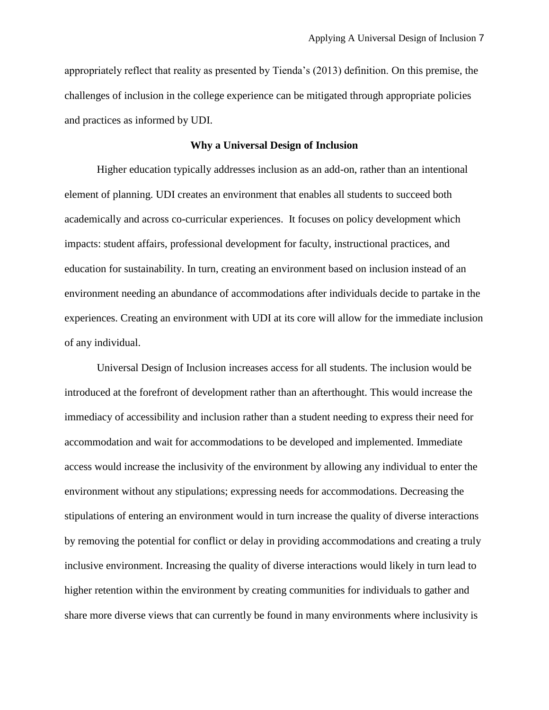appropriately reflect that reality as presented by Tienda's (2013) definition. On this premise, the challenges of inclusion in the college experience can be mitigated through appropriate policies and practices as informed by UDI.

#### **Why a Universal Design of Inclusion**

Higher education typically addresses inclusion as an add-on, rather than an intentional element of planning. UDI creates an environment that enables all students to succeed both academically and across co-curricular experiences. It focuses on policy development which impacts: student affairs, professional development for faculty, instructional practices, and education for sustainability. In turn, creating an environment based on inclusion instead of an environment needing an abundance of accommodations after individuals decide to partake in the experiences. Creating an environment with UDI at its core will allow for the immediate inclusion of any individual.

Universal Design of Inclusion increases access for all students. The inclusion would be introduced at the forefront of development rather than an afterthought. This would increase the immediacy of accessibility and inclusion rather than a student needing to express their need for accommodation and wait for accommodations to be developed and implemented. Immediate access would increase the inclusivity of the environment by allowing any individual to enter the environment without any stipulations; expressing needs for accommodations. Decreasing the stipulations of entering an environment would in turn increase the quality of diverse interactions by removing the potential for conflict or delay in providing accommodations and creating a truly inclusive environment. Increasing the quality of diverse interactions would likely in turn lead to higher retention within the environment by creating communities for individuals to gather and share more diverse views that can currently be found in many environments where inclusivity is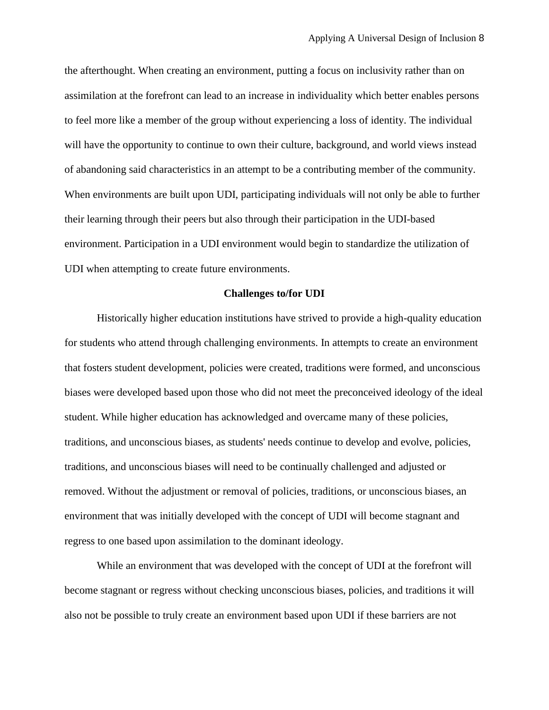the afterthought. When creating an environment, putting a focus on inclusivity rather than on assimilation at the forefront can lead to an increase in individuality which better enables persons to feel more like a member of the group without experiencing a loss of identity. The individual will have the opportunity to continue to own their culture, background, and world views instead of abandoning said characteristics in an attempt to be a contributing member of the community. When environments are built upon UDI, participating individuals will not only be able to further their learning through their peers but also through their participation in the UDI-based environment. Participation in a UDI environment would begin to standardize the utilization of UDI when attempting to create future environments.

#### **Challenges to/for UDI**

Historically higher education institutions have strived to provide a high-quality education for students who attend through challenging environments. In attempts to create an environment that fosters student development, policies were created, traditions were formed, and unconscious biases were developed based upon those who did not meet the preconceived ideology of the ideal student. While higher education has acknowledged and overcame many of these policies, traditions, and unconscious biases, as students' needs continue to develop and evolve, policies, traditions, and unconscious biases will need to be continually challenged and adjusted or removed. Without the adjustment or removal of policies, traditions, or unconscious biases, an environment that was initially developed with the concept of UDI will become stagnant and regress to one based upon assimilation to the dominant ideology.

While an environment that was developed with the concept of UDI at the forefront will become stagnant or regress without checking unconscious biases, policies, and traditions it will also not be possible to truly create an environment based upon UDI if these barriers are not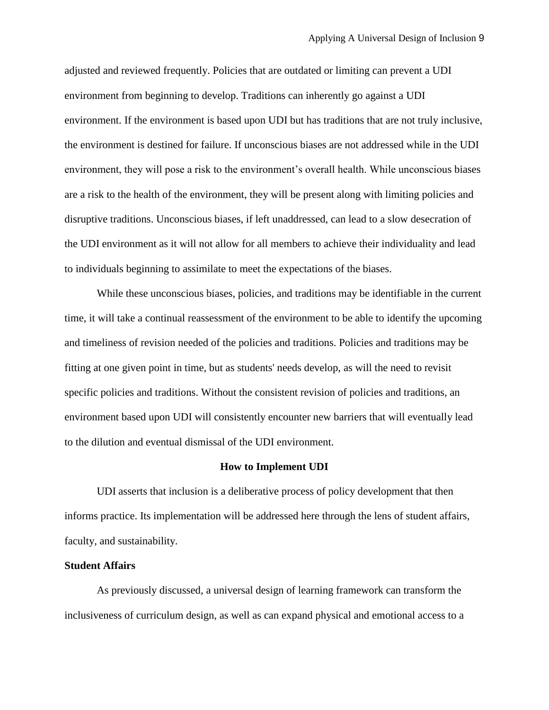adjusted and reviewed frequently. Policies that are outdated or limiting can prevent a UDI environment from beginning to develop. Traditions can inherently go against a UDI environment. If the environment is based upon UDI but has traditions that are not truly inclusive, the environment is destined for failure. If unconscious biases are not addressed while in the UDI environment, they will pose a risk to the environment's overall health. While unconscious biases are a risk to the health of the environment, they will be present along with limiting policies and disruptive traditions. Unconscious biases, if left unaddressed, can lead to a slow desecration of the UDI environment as it will not allow for all members to achieve their individuality and lead to individuals beginning to assimilate to meet the expectations of the biases.

While these unconscious biases, policies, and traditions may be identifiable in the current time, it will take a continual reassessment of the environment to be able to identify the upcoming and timeliness of revision needed of the policies and traditions. Policies and traditions may be fitting at one given point in time, but as students' needs develop, as will the need to revisit specific policies and traditions. Without the consistent revision of policies and traditions, an environment based upon UDI will consistently encounter new barriers that will eventually lead to the dilution and eventual dismissal of the UDI environment.

#### **How to Implement UDI**

UDI asserts that inclusion is a deliberative process of policy development that then informs practice. Its implementation will be addressed here through the lens of student affairs, faculty, and sustainability.

## **Student Affairs**

As previously discussed, a universal design of learning framework can transform the inclusiveness of curriculum design, as well as can expand physical and emotional access to a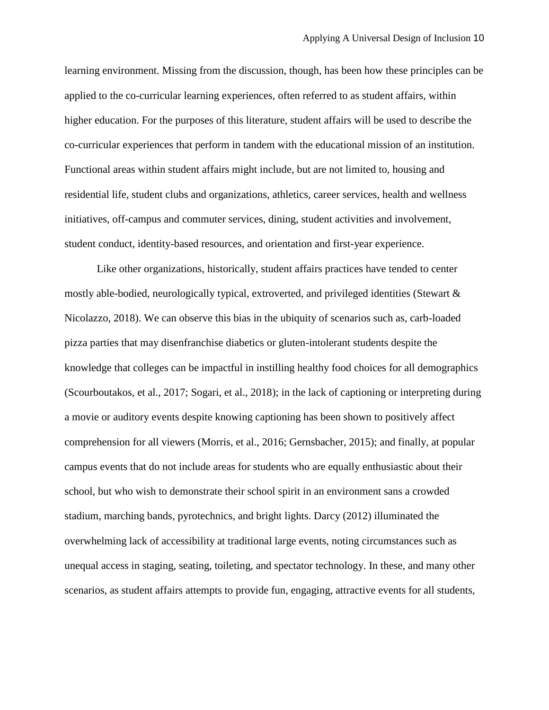learning environment. Missing from the discussion, though, has been how these principles can be applied to the co-curricular learning experiences, often referred to as student affairs, within higher education. For the purposes of this literature, student affairs will be used to describe the co-curricular experiences that perform in tandem with the educational mission of an institution. Functional areas within student affairs might include, but are not limited to, housing and residential life, student clubs and organizations, athletics, career services, health and wellness initiatives, off-campus and commuter services, dining, student activities and involvement, student conduct, identity-based resources, and orientation and first-year experience.

Like other organizations, historically, student affairs practices have tended to center mostly able-bodied, neurologically typical, extroverted, and privileged identities (Stewart & Nicolazzo, 2018). We can observe this bias in the ubiquity of scenarios such as, carb-loaded pizza parties that may disenfranchise diabetics or gluten-intolerant students despite the knowledge that colleges can be impactful in instilling healthy food choices for all demographics (Scourboutakos, et al., 2017; Sogari, et al., 2018); in the lack of captioning or interpreting during a movie or auditory events despite knowing captioning has been shown to positively affect comprehension for all viewers (Morris, et al., 2016; Gernsbacher, 2015); and finally, at popular campus events that do not include areas for students who are equally enthusiastic about their school, but who wish to demonstrate their school spirit in an environment sans a crowded stadium, marching bands, pyrotechnics, and bright lights. Darcy (2012) illuminated the overwhelming lack of accessibility at traditional large events, noting circumstances such as unequal access in staging, seating, toileting, and spectator technology. In these, and many other scenarios, as student affairs attempts to provide fun, engaging, attractive events for all students,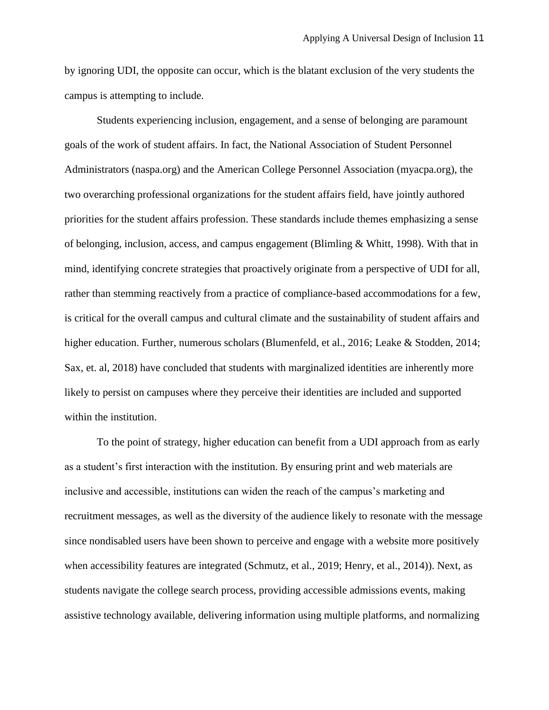by ignoring UDI, the opposite can occur, which is the blatant exclusion of the very students the campus is attempting to include.

Students experiencing inclusion, engagement, and a sense of belonging are paramount goals of the work of student affairs. In fact, the National Association of Student Personnel Administrators (naspa.org) and the American College Personnel Association (myacpa.org), the two overarching professional organizations for the student affairs field, have jointly authored priorities for the student affairs profession. These standards include themes emphasizing a sense of belonging, inclusion, access, and campus engagement (Blimling & Whitt, 1998). With that in mind, identifying concrete strategies that proactively originate from a perspective of UDI for all, rather than stemming reactively from a practice of compliance-based accommodations for a few, is critical for the overall campus and cultural climate and the sustainability of student affairs and higher education. Further, numerous scholars (Blumenfeld, et al., 2016; Leake & Stodden, 2014; Sax, et. al, 2018) have concluded that students with marginalized identities are inherently more likely to persist on campuses where they perceive their identities are included and supported within the institution.

To the point of strategy, higher education can benefit from a UDI approach from as early as a student's first interaction with the institution. By ensuring print and web materials are inclusive and accessible, institutions can widen the reach of the campus's marketing and recruitment messages, as well as the diversity of the audience likely to resonate with the message since nondisabled users have been shown to perceive and engage with a website more positively when accessibility features are integrated (Schmutz, et al., 2019; Henry, et al., 2014)). Next, as students navigate the college search process, providing accessible admissions events, making assistive technology available, delivering information using multiple platforms, and normalizing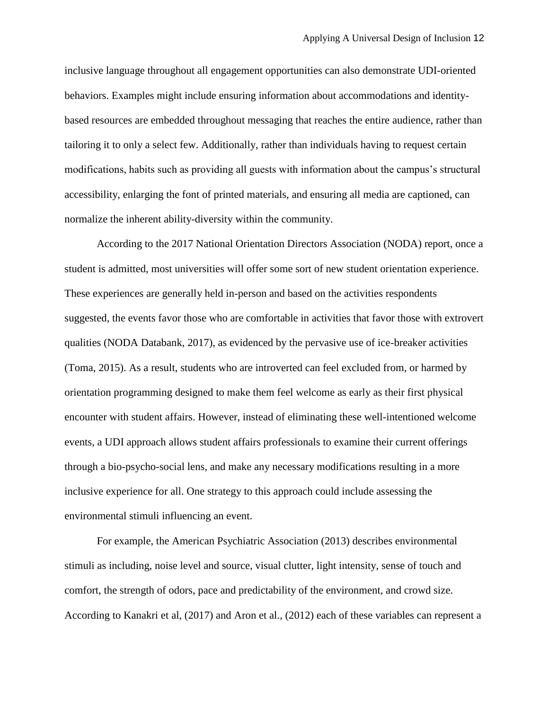inclusive language throughout all engagement opportunities can also demonstrate UDI-oriented behaviors. Examples might include ensuring information about accommodations and identitybased resources are embedded throughout messaging that reaches the entire audience, rather than tailoring it to only a select few. Additionally, rather than individuals having to request certain modifications, habits such as providing all guests with information about the campus's structural accessibility, enlarging the font of printed materials, and ensuring all media are captioned, can normalize the inherent ability-diversity within the community.

According to the 2017 National Orientation Directors Association (NODA) report, once a student is admitted, most universities will offer some sort of new student orientation experience. These experiences are generally held in-person and based on the activities respondents suggested, the events favor those who are comfortable in activities that favor those with extrovert qualities (NODA Databank, 2017), as evidenced by the pervasive use of ice-breaker activities (Toma, 2015). As a result, students who are introverted can feel excluded from, or harmed by orientation programming designed to make them feel welcome as early as their first physical encounter with student affairs. However, instead of eliminating these well-intentioned welcome events, a UDI approach allows student affairs professionals to examine their current offerings through a bio-psycho-social lens, and make any necessary modifications resulting in a more inclusive experience for all. One strategy to this approach could include assessing the environmental stimuli influencing an event.

For example, the American Psychiatric Association (2013) describes environmental stimuli as including, noise level and source, visual clutter, light intensity, sense of touch and comfort, the strength of odors, pace and predictability of the environment, and crowd size. According to Kanakri et al, (2017) and Aron et al., (2012) each of these variables can represent a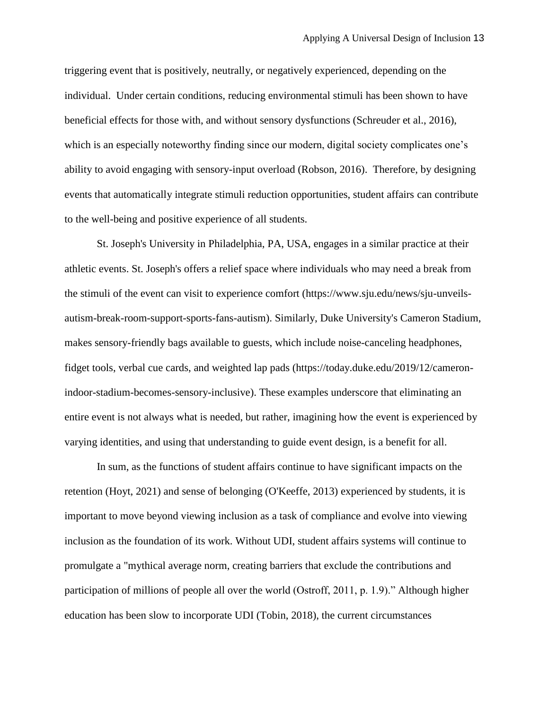triggering event that is positively, neutrally, or negatively experienced, depending on the individual. Under certain conditions, reducing environmental stimuli has been shown to have beneficial effects for those with, and without sensory dysfunctions (Schreuder et al., 2016), which is an especially noteworthy finding since our modern, digital society complicates one's ability to avoid engaging with sensory-input overload (Robson, 2016). Therefore, by designing events that automatically integrate stimuli reduction opportunities, student affairs can contribute to the well-being and positive experience of all students.

St. Joseph's University in Philadelphia, PA, USA, engages in a similar practice at their athletic events. St. Joseph's offers a relief space where individuals who may need a break from the stimuli of the event can visit to experience comfort (https://www.sju.edu/news/sju-unveilsautism-break-room-support-sports-fans-autism). Similarly, Duke University's Cameron Stadium, makes sensory-friendly bags available to guests, which include noise-canceling headphones, fidget tools, verbal cue cards, and weighted lap pads (https://today.duke.edu/2019/12/cameronindoor-stadium-becomes-sensory-inclusive). These examples underscore that eliminating an entire event is not always what is needed, but rather, imagining how the event is experienced by varying identities, and using that understanding to guide event design, is a benefit for all.

In sum, as the functions of student affairs continue to have significant impacts on the retention (Hoyt, 2021) and sense of belonging (O'Keeffe, 2013) experienced by students, it is important to move beyond viewing inclusion as a task of compliance and evolve into viewing inclusion as the foundation of its work. Without UDI, student affairs systems will continue to promulgate a "mythical average norm, creating barriers that exclude the contributions and participation of millions of people all over the world (Ostroff, 2011, p. 1.9)." Although higher education has been slow to incorporate UDI (Tobin, 2018), the current circumstances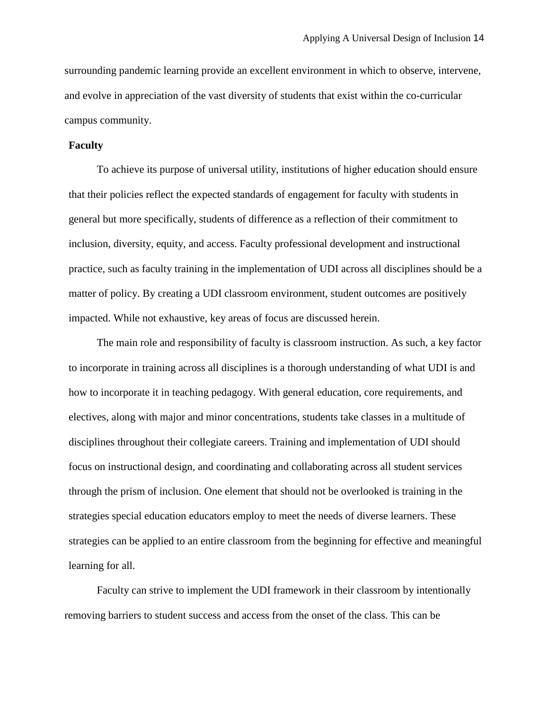surrounding pandemic learning provide an excellent environment in which to observe, intervene, and evolve in appreciation of the vast diversity of students that exist within the co-curricular campus community.

#### **Faculty**

To achieve its purpose of universal utility, institutions of higher education should ensure that their policies reflect the expected standards of engagement for faculty with students in general but more specifically, students of difference as a reflection of their commitment to inclusion, diversity, equity, and access. Faculty professional development and instructional practice, such as faculty training in the implementation of UDI across all disciplines should be a matter of policy. By creating a UDI classroom environment, student outcomes are positively impacted. While not exhaustive, key areas of focus are discussed herein.

The main role and responsibility of faculty is classroom instruction. As such, a key factor to incorporate in training across all disciplines is a thorough understanding of what UDI is and how to incorporate it in teaching pedagogy. With general education, core requirements, and electives, along with major and minor concentrations, students take classes in a multitude of disciplines throughout their collegiate careers. Training and implementation of UDI should focus on instructional design, and coordinating and collaborating across all student services through the prism of inclusion. One element that should not be overlooked is training in the strategies special education educators employ to meet the needs of diverse learners. These strategies can be applied to an entire classroom from the beginning for effective and meaningful learning for all.

Faculty can strive to implement the UDI framework in their classroom by intentionally removing barriers to student success and access from the onset of the class. This can be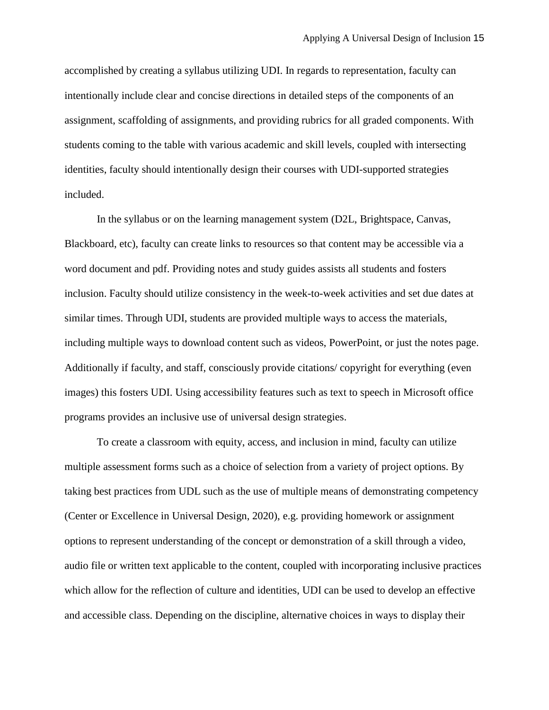accomplished by creating a syllabus utilizing UDI. In regards to representation, faculty can intentionally include clear and concise directions in detailed steps of the components of an assignment, scaffolding of assignments, and providing rubrics for all graded components. With students coming to the table with various academic and skill levels, coupled with intersecting identities, faculty should intentionally design their courses with UDI-supported strategies included.

In the syllabus or on the learning management system (D2L, Brightspace, Canvas, Blackboard, etc), faculty can create links to resources so that content may be accessible via a word document and pdf. Providing notes and study guides assists all students and fosters inclusion. Faculty should utilize consistency in the week-to-week activities and set due dates at similar times. Through UDI, students are provided multiple ways to access the materials, including multiple ways to download content such as videos, PowerPoint, or just the notes page. Additionally if faculty, and staff, consciously provide citations/ copyright for everything (even images) this fosters UDI. Using accessibility features such as text to speech in Microsoft office programs provides an inclusive use of universal design strategies.

To create a classroom with equity, access, and inclusion in mind, faculty can utilize multiple assessment forms such as a choice of selection from a variety of project options. By taking best practices from UDL such as the use of multiple means of demonstrating competency (Center or Excellence in Universal Design, 2020), e.g. providing homework or assignment options to represent understanding of the concept or demonstration of a skill through a video, audio file or written text applicable to the content, coupled with incorporating inclusive practices which allow for the reflection of culture and identities, UDI can be used to develop an effective and accessible class. Depending on the discipline, alternative choices in ways to display their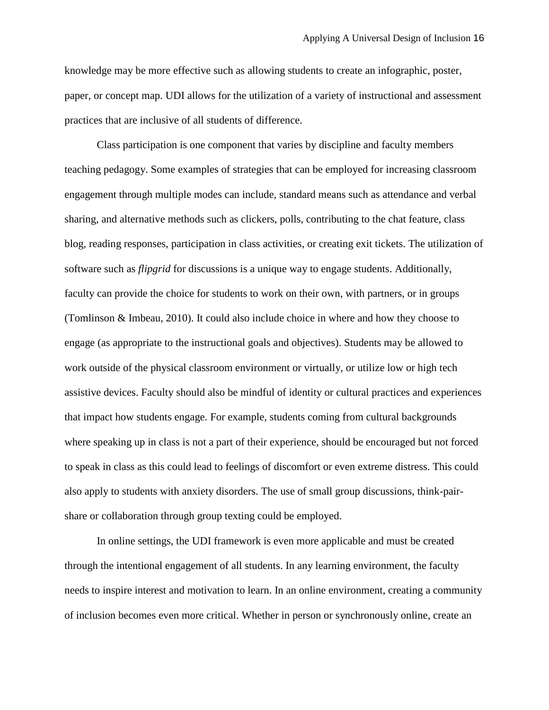knowledge may be more effective such as allowing students to create an infographic, poster, paper, or concept map. UDI allows for the utilization of a variety of instructional and assessment practices that are inclusive of all students of difference.

Class participation is one component that varies by discipline and faculty members teaching pedagogy. Some examples of strategies that can be employed for increasing classroom engagement through multiple modes can include, standard means such as attendance and verbal sharing, and alternative methods such as clickers, polls, contributing to the chat feature, class blog, reading responses, participation in class activities, or creating exit tickets. The utilization of software such as *flipgrid* for discussions is a unique way to engage students. Additionally, faculty can provide the choice for students to work on their own, with partners, or in groups (Tomlinson & Imbeau, 2010). It could also include choice in where and how they choose to engage (as appropriate to the instructional goals and objectives). Students may be allowed to work outside of the physical classroom environment or virtually, or utilize low or high tech assistive devices. Faculty should also be mindful of identity or cultural practices and experiences that impact how students engage. For example, students coming from cultural backgrounds where speaking up in class is not a part of their experience, should be encouraged but not forced to speak in class as this could lead to feelings of discomfort or even extreme distress. This could also apply to students with anxiety disorders. The use of small group discussions, think-pairshare or collaboration through group texting could be employed.

In online settings, the UDI framework is even more applicable and must be created through the intentional engagement of all students. In any learning environment, the faculty needs to inspire interest and motivation to learn. In an online environment, creating a community of inclusion becomes even more critical. Whether in person or synchronously online, create an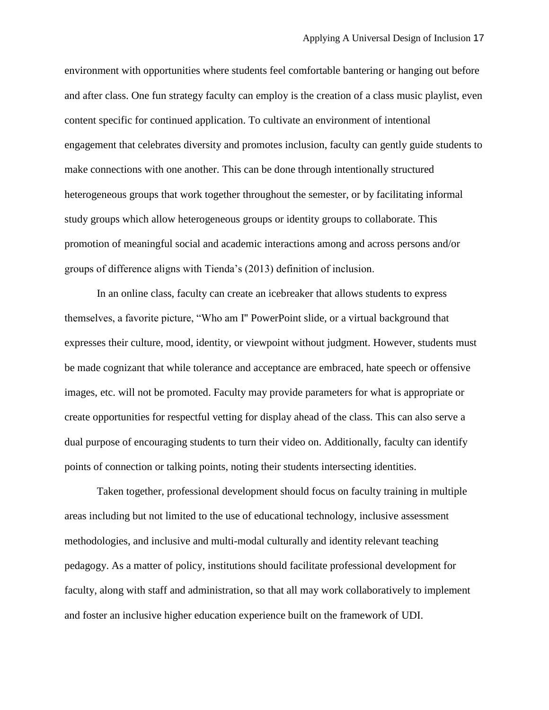environment with opportunities where students feel comfortable bantering or hanging out before and after class. One fun strategy faculty can employ is the creation of a class music playlist, even content specific for continued application. To cultivate an environment of intentional engagement that celebrates diversity and promotes inclusion, faculty can gently guide students to make connections with one another. This can be done through intentionally structured heterogeneous groups that work together throughout the semester, or by facilitating informal study groups which allow heterogeneous groups or identity groups to collaborate. This promotion of meaningful social and academic interactions among and across persons and/or groups of difference aligns with Tienda's (2013) definition of inclusion.

In an online class, faculty can create an icebreaker that allows students to express themselves, a favorite picture, "Who am I'' PowerPoint slide, or a virtual background that expresses their culture, mood, identity, or viewpoint without judgment. However, students must be made cognizant that while tolerance and acceptance are embraced, hate speech or offensive images, etc. will not be promoted. Faculty may provide parameters for what is appropriate or create opportunities for respectful vetting for display ahead of the class. This can also serve a dual purpose of encouraging students to turn their video on. Additionally, faculty can identify points of connection or talking points, noting their students intersecting identities.

Taken together, professional development should focus on faculty training in multiple areas including but not limited to the use of educational technology, inclusive assessment methodologies, and inclusive and multi-modal culturally and identity relevant teaching pedagogy. As a matter of policy, institutions should facilitate professional development for faculty, along with staff and administration, so that all may work collaboratively to implement and foster an inclusive higher education experience built on the framework of UDI.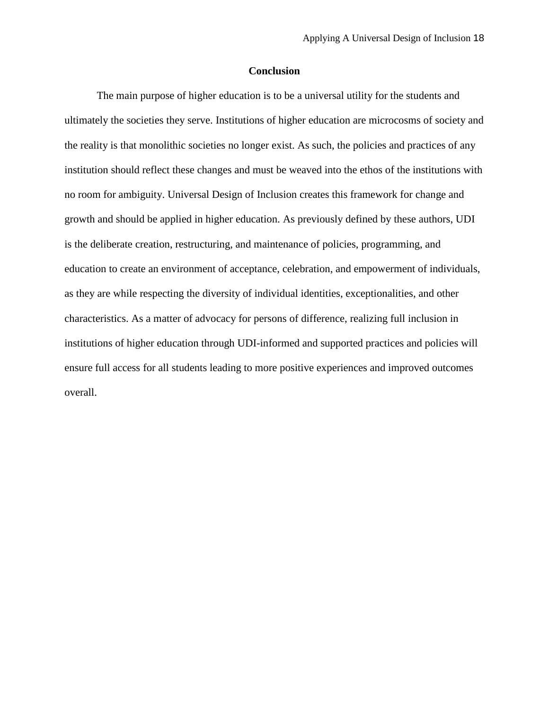## **Conclusion**

The main purpose of higher education is to be a universal utility for the students and ultimately the societies they serve. Institutions of higher education are microcosms of society and the reality is that monolithic societies no longer exist. As such, the policies and practices of any institution should reflect these changes and must be weaved into the ethos of the institutions with no room for ambiguity. Universal Design of Inclusion creates this framework for change and growth and should be applied in higher education. As previously defined by these authors, UDI is the deliberate creation, restructuring, and maintenance of policies, programming, and education to create an environment of acceptance, celebration, and empowerment of individuals, as they are while respecting the diversity of individual identities, exceptionalities, and other characteristics. As a matter of advocacy for persons of difference, realizing full inclusion in institutions of higher education through UDI-informed and supported practices and policies will ensure full access for all students leading to more positive experiences and improved outcomes overall.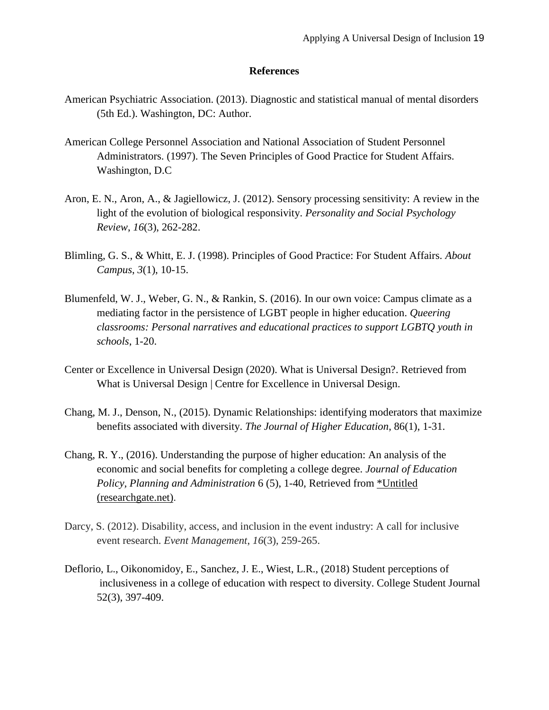#### **References**

- American Psychiatric Association. (2013). Diagnostic and statistical manual of mental disorders (5th Ed.). Washington, DC: Author.
- American College Personnel Association and National Association of Student Personnel Administrators. (1997). The Seven Principles of Good Practice for Student Affairs. Washington, D.C
- Aron, E. N., Aron, A., & Jagiellowicz, J. (2012). Sensory processing sensitivity: A review in the light of the evolution of biological responsivity. *Personality and Social Psychology Review*, *16*(3), 262-282.
- Blimling, G. S., & Whitt, E. J. (1998). Principles of Good Practice: For Student Affairs. *About Campus*, *3*(1), 10-15.
- Blumenfeld, W. J., Weber, G. N., & Rankin, S. (2016). In our own voice: Campus climate as a mediating factor in the persistence of LGBT people in higher education. *Queering classrooms: Personal narratives and educational practices to support LGBTQ youth in schools*, 1-20.
- Center or Excellence in Universal Design (2020). What is Universal Design?. Retrieved from What is Universal Design | Centre for Excellence in Universal Design.
- Chang, M. J., Denson, N., (2015). Dynamic Relationships: identifying moderators that maximize benefits associated with diversity. *The Journal of Higher Education*, 86(1), 1-31.
- Chang, R. Y., (2016). Understanding the purpose of higher education: An analysis of the economic and social benefits for completing a college degree. *Journal of Education Policy, Planning and Administration* 6 (5), 1-40, Retrieved from [\\*Untitled](https://www.researchgate.net/profile/Roy-Chan-3/publication/305228497_Understanding_the_purpose_of_higher_education_An_analysis_of_the_economic_and_social_benefits_for_completing_a_college_degree/links/5785af9d08aef321de2a9cec/Understanding-the-purpose-of-higher-education-An-analysis-of-the-economic-and-social-benefits-for-completing-a-college-degree.pdf)  [\(researchgate.net\)](https://www.researchgate.net/profile/Roy-Chan-3/publication/305228497_Understanding_the_purpose_of_higher_education_An_analysis_of_the_economic_and_social_benefits_for_completing_a_college_degree/links/5785af9d08aef321de2a9cec/Understanding-the-purpose-of-higher-education-An-analysis-of-the-economic-and-social-benefits-for-completing-a-college-degree.pdf).
- Darcy, S. (2012). Disability, access, and inclusion in the event industry: A call for inclusive event research. *Event Management*, *16*(3), 259-265.
- Deflorio, L., Oikonomidoy, E., Sanchez, J. E., Wiest, L.R., (2018) Student perceptions of inclusiveness in a college of education with respect to diversity. College Student Journal 52(3), 397-409.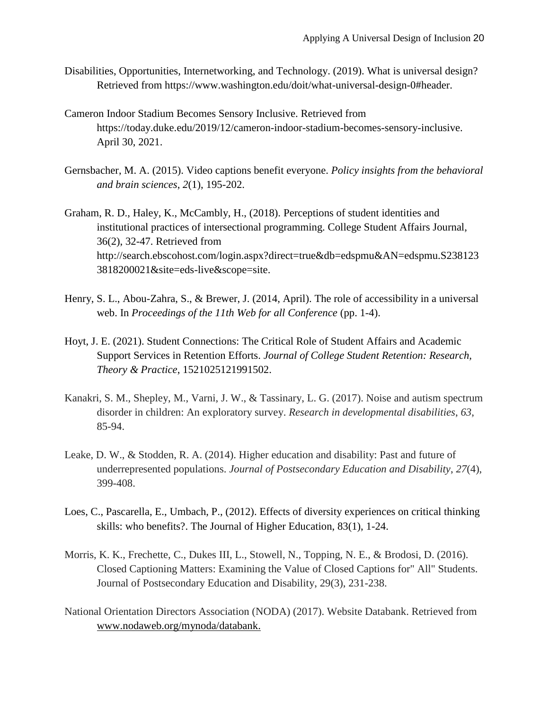- Disabilities, Opportunities, Internetworking, and Technology. (2019). What is universal design? Retrieved from https://www.washington.edu/doit/what-universal-design-0#header.
- Cameron Indoor Stadium Becomes Sensory Inclusive. Retrieved from https://today.duke.edu/2019/12/cameron-indoor-stadium-becomes-sensory-inclusive. April 30, 2021.
- Gernsbacher, M. A. (2015). Video captions benefit everyone. *Policy insights from the behavioral and brain sciences*, *2*(1), 195-202.
- Graham, R. D., Haley, K., McCambly, H., (2018). Perceptions of student identities and institutional practices of intersectional programming. College Student Affairs Journal, 36(2), 32-47. Retrieved from http://search.ebscohost.com/login.aspx?direct=true&db=edspmu&AN=edspmu.S238123 3818200021&site=eds-live&scope=site.
- Henry, S. L., Abou-Zahra, S., & Brewer, J. (2014, April). The role of accessibility in a universal web. In *Proceedings of the 11th Web for all Conference* (pp. 1-4).
- Hoyt, J. E. (2021). Student Connections: The Critical Role of Student Affairs and Academic Support Services in Retention Efforts. *Journal of College Student Retention: Research, Theory & Practice*, 1521025121991502.
- Kanakri, S. M., Shepley, M., Varni, J. W., & Tassinary, L. G. (2017). Noise and autism spectrum disorder in children: An exploratory survey. *Research in developmental disabilities*, *63*, 85-94.
- Leake, D. W., & Stodden, R. A. (2014). Higher education and disability: Past and future of underrepresented populations. *Journal of Postsecondary Education and Disability*, *27*(4), 399-408.
- Loes, C., Pascarella, E., Umbach, P., (2012). Effects of diversity experiences on critical thinking skills: who benefits?. The Journal of Higher Education, 83(1), 1-24.
- Morris, K. K., Frechette, C., Dukes III, L., Stowell, N., Topping, N. E., & Brodosi, D. (2016). Closed Captioning Matters: Examining the Value of Closed Captions for" All" Students. Journal of Postsecondary Education and Disability, 29(3), 231-238.
- National Orientation Directors Association (NODA) (2017). Website Databank. Retrieved from www.nodaweb.org/mynoda/databank.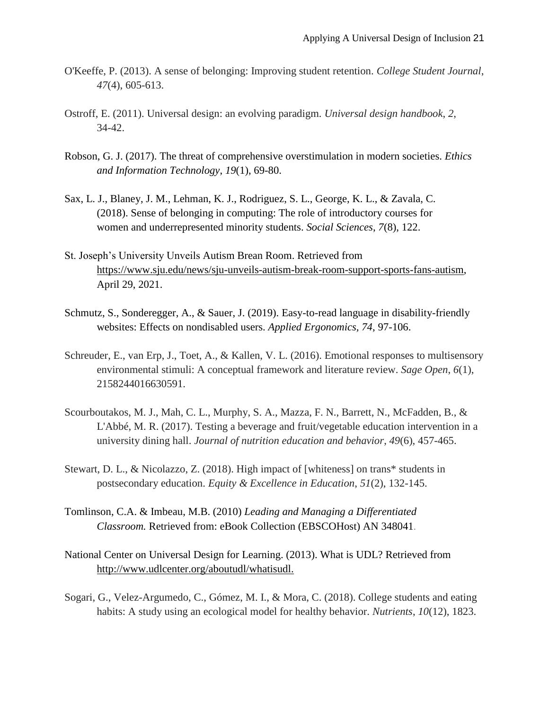- O'Keeffe, P. (2013). A sense of belonging: Improving student retention. *College Student Journal*, *47*(4), 605-613.
- Ostroff, E. (2011). Universal design: an evolving paradigm. *Universal design handbook*, *2*, 34-42.
- Robson, G. J. (2017). The threat of comprehensive overstimulation in modern societies. *Ethics and Information Technology*, *19*(1), 69-80.
- Sax, L. J., Blaney, J. M., Lehman, K. J., Rodriguez, S. L., George, K. L., & Zavala, C. (2018). Sense of belonging in computing: The role of introductory courses for women and underrepresented minority students. *Social Sciences*, *7*(8), 122.
- St. Joseph's University Unveils Autism Brean Room. Retrieved from https://www.sju.edu/news/sju-unveils-autism-break-room-support-sports-fans-autism, April 29, 2021.
- Schmutz, S., Sonderegger, A., & Sauer, J. (2019). Easy-to-read language in disability-friendly websites: Effects on nondisabled users. *Applied Ergonomics, 74*, 97-106.
- Schreuder, E., van Erp, J., Toet, A., & Kallen, V. L. (2016). Emotional responses to multisensory environmental stimuli: A conceptual framework and literature review. *Sage Open*, *6*(1), 2158244016630591.
- Scourboutakos, M. J., Mah, C. L., Murphy, S. A., Mazza, F. N., Barrett, N., McFadden, B., & L'Abbé, M. R. (2017). Testing a beverage and fruit/vegetable education intervention in a university dining hall. *Journal of nutrition education and behavior*, *49*(6), 457-465.
- Stewart, D. L., & Nicolazzo, Z. (2018). High impact of [whiteness] on trans\* students in postsecondary education. *Equity & Excellence in Education*, *51*(2), 132-145.
- Tomlinson, C.A. & Imbeau, M.B. (2010) *Leading and Managing a Differentiated Classroom.* Retrieved from: eBook Collection (EBSCOHost) AN 348041.
- National Center on Universal Design for Learning. (2013). What is UDL? Retrieved from http://www.udlcenter.org/aboutudl/whatisudl.
- Sogari, G., Velez-Argumedo, C., Gómez, M. I., & Mora, C. (2018). College students and eating habits: A study using an ecological model for healthy behavior. *Nutrients*, *10*(12), 1823.